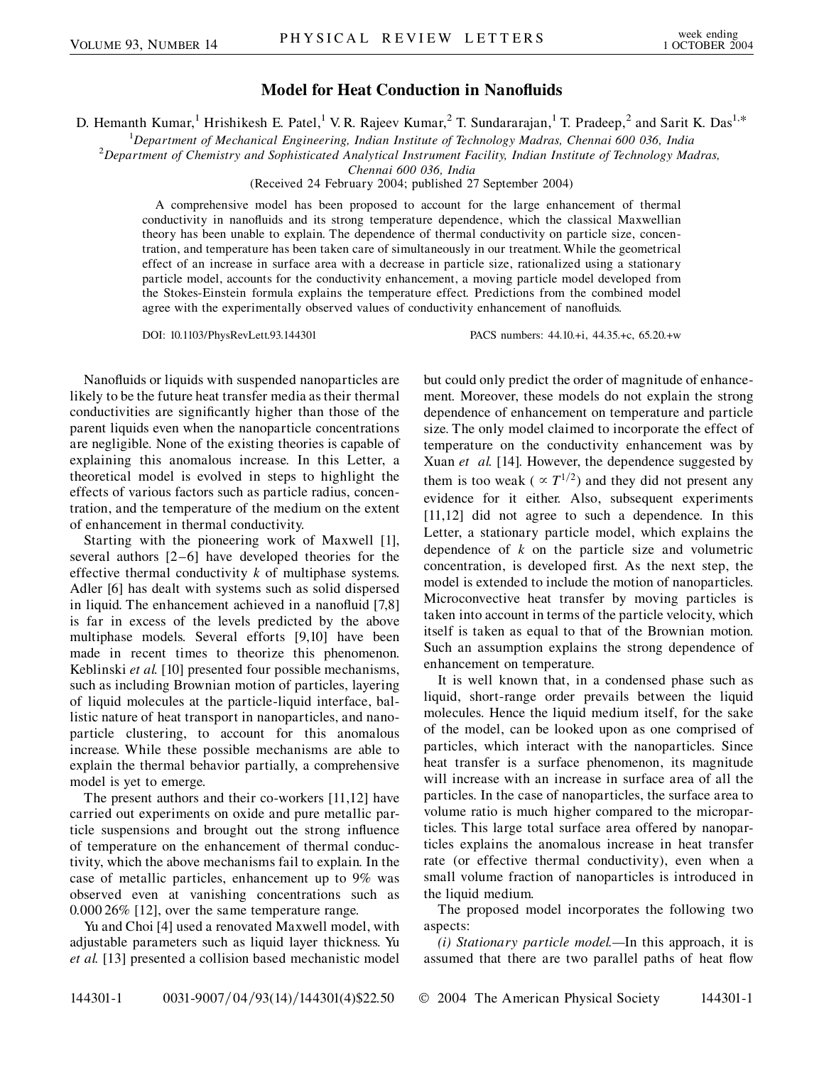## **Model for Heat Conduction in Nanofluids**

D. Hemanth Kumar,<sup>1</sup> Hrishikesh E. Patel,<sup>1</sup> V. R. Rajeev Kumar,<sup>2</sup> T. Sundararajan,<sup>1</sup> T. Pradeep,<sup>2</sup> and Sarit K. Das<sup>1,\*</sup>

<sup>1</sup>Department of Mechanical Engineering, Indian Institute of Technology Madras, Chennai 600 036, India<sup>2</sup>Department of Chemistry and Sophisticated Anglytical Instrument Equility Indian Institute of Technology Ma

*Department of Chemistry and Sophisticated Analytical Instrument Facility, Indian Institute of Technology Madras,*

*Chennai 600 036, India*

(Received 24 February 2004; published 27 September 2004)

A comprehensive model has been proposed to account for the large enhancement of thermal conductivity in nanofluids and its strong temperature dependence, which the classical Maxwellian theory has been unable to explain. The dependence of thermal conductivity on particle size, concentration, and temperature has been taken care of simultaneously in our treatment. While the geometrical effect of an increase in surface area with a decrease in particle size, rationalized using a stationary particle model, accounts for the conductivity enhancement, a moving particle model developed from the Stokes-Einstein formula explains the temperature effect. Predictions from the combined model agree with the experimentally observed values of conductivity enhancement of nanofluids.

DOI: 10.1103/PhysRevLett.93.144301 PACS numbers: 44.10.+i, 44.35.+c, 65.20.+w

Nanofluids or liquids with suspended nanoparticles are likely to be the future heat transfer media as their thermal conductivities are significantly higher than those of the parent liquids even when the nanoparticle concentrations are negligible. None of the existing theories is capable of explaining this anomalous increase. In this Letter, a theoretical model is evolved in steps to highlight the effects of various factors such as particle radius, concentration, and the temperature of the medium on the extent of enhancement in thermal conductivity.

Starting with the pioneering work of Maxwell [1], several authors [2–6] have developed theories for the effective thermal conductivity *k* of multiphase systems. Adler [6] has dealt with systems such as solid dispersed in liquid. The enhancement achieved in a nanofluid [7,8] is far in excess of the levels predicted by the above multiphase models. Several efforts [9,10] have been made in recent times to theorize this phenomenon. Keblinski *et al.* [10] presented four possible mechanisms, such as including Brownian motion of particles, layering of liquid molecules at the particle-liquid interface, ballistic nature of heat transport in nanoparticles, and nanoparticle clustering, to account for this anomalous increase. While these possible mechanisms are able to explain the thermal behavior partially, a comprehensive model is yet to emerge.

The present authors and their co-workers [11,12] have carried out experiments on oxide and pure metallic particle suspensions and brought out the strong influence of temperature on the enhancement of thermal conductivity, which the above mechanisms fail to explain. In the case of metallic particles, enhancement up to 9% was observed even at vanishing concentrations such as 0.000 26% [12], over the same temperature range.

Yu and Choi [4] used a renovated Maxwell model, with adjustable parameters such as liquid layer thickness. Yu *et al.* [13] presented a collision based mechanistic model but could only predict the order of magnitude of enhancement. Moreover, these models do not explain the strong dependence of enhancement on temperature and particle size. The only model claimed to incorporate the effect of temperature on the conductivity enhancement was by Xuan *et al.* [14]. However, the dependence suggested by them is too weak ( $\propto T^{1/2}$ ) and they did not present any evidence for it either. Also, subsequent experiments [11,12] did not agree to such a dependence. In this Letter, a stationary particle model, which explains the dependence of *k* on the particle size and volumetric concentration, is developed first. As the next step, the model is extended to include the motion of nanoparticles. Microconvective heat transfer by moving particles is taken into account in terms of the particle velocity, which itself is taken as equal to that of the Brownian motion. Such an assumption explains the strong dependence of enhancement on temperature.

It is well known that, in a condensed phase such as liquid, short-range order prevails between the liquid molecules. Hence the liquid medium itself, for the sake of the model, can be looked upon as one comprised of particles, which interact with the nanoparticles. Since heat transfer is a surface phenomenon, its magnitude will increase with an increase in surface area of all the particles. In the case of nanoparticles, the surface area to volume ratio is much higher compared to the microparticles. This large total surface area offered by nanoparticles explains the anomalous increase in heat transfer rate (or effective thermal conductivity), even when a small volume fraction of nanoparticles is introduced in the liquid medium.

The proposed model incorporates the following two aspects:

*(i) Stationary particle model.—*In this approach, it is assumed that there are two parallel paths of heat flow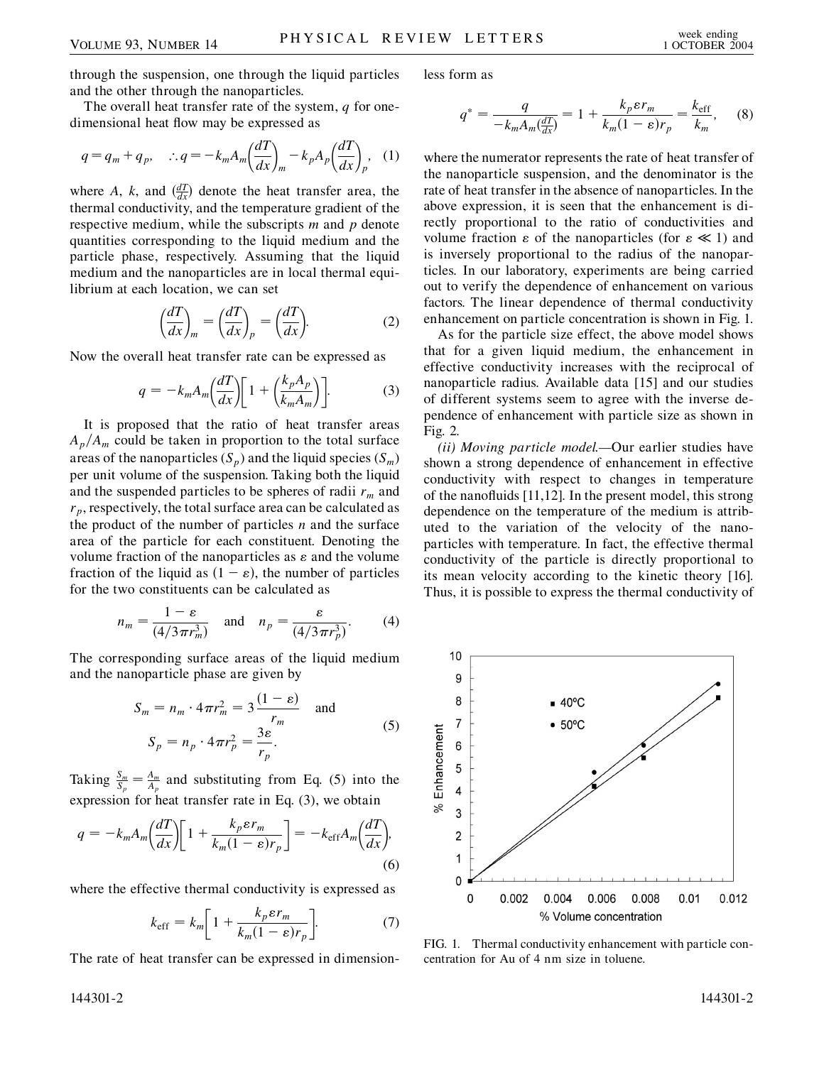through the suspension, one through the liquid particles and the other through the nanoparticles.

The overall heat transfer rate of the system, *q* for onedimensional heat flow may be expressed as

$$
q = q_m + q_p, \quad \therefore q = -k_m A_m \left(\frac{dT}{dx}\right)_m - k_p A_p \left(\frac{dT}{dx}\right)_p, \quad (1)
$$

where *A*, *k*, and  $\left(\frac{dT}{dx}\right)$  denote the heat transfer area, the thermal conductivity, and the temperature gradient of the respective medium, while the subscripts *m* and *p* denote quantities corresponding to the liquid medium and the particle phase, respectively. Assuming that the liquid medium and the nanoparticles are in local thermal equilibrium at each location, we can set

$$
\left(\frac{dT}{dx}\right)_m = \left(\frac{dT}{dx}\right)_p = \left(\frac{dT}{dx}\right).
$$
 (2)

Now the overall heat transfer rate can be expressed as

$$
q = -k_m A_m \left(\frac{dT}{dx}\right) \left[1 + \left(\frac{k_p A_p}{k_m A_m}\right)\right].
$$
 (3)

It is proposed that the ratio of heat transfer areas  $A_p/A_m$  could be taken in proportion to the total surface areas of the nanoparticles  $(S_p)$  and the liquid species  $(S_m)$ per unit volume of the suspension. Taking both the liquid and the suspended particles to be spheres of radii  $r_m$  and  $r_p$ , respectively, the total surface area can be calculated as the product of the number of particles *n* and the surface area of the particle for each constituent. Denoting the volume fraction of the nanoparticles as  $\varepsilon$  and the volume fraction of the liquid as  $(1 - \varepsilon)$ , the number of particles for the two constituents can be calculated as

$$
n_m = \frac{1 - \varepsilon}{(4/3\pi r_m^3)} \quad \text{and} \quad n_p = \frac{\varepsilon}{(4/3\pi r_p^3)}.
$$
 (4)

The corresponding surface areas of the liquid medium and the nanoparticle phase are given by

$$
S_m = n_m \cdot 4\pi r_m^2 = 3 \frac{(1 - \varepsilon)}{r_m} \text{ and}
$$
  

$$
S_p = n_p \cdot 4\pi r_p^2 = \frac{3\varepsilon}{r_p}.
$$
 (5)

Taking  $\frac{S_m}{S_p} = \frac{A_m}{A_p}$  and substituting from Eq. (5) into the expression for heat transfer rate in Eq. (3), we obtain

$$
q = -k_m A_m \left(\frac{dT}{dx}\right) \left[1 + \frac{k_p \varepsilon r_m}{k_m (1 - \varepsilon) r_p}\right] = -k_{\text{eff}} A_m \left(\frac{dT}{dx}\right),\tag{6}
$$

where the effective thermal conductivity is expressed as

$$
k_{\text{eff}} = k_m \left[ 1 + \frac{k_p \varepsilon r_m}{k_m (1 - \varepsilon) r_p} \right].
$$
 (7)

The rate of heat transfer can be expressed in dimension-

less form as

$$
q^* = \frac{q}{-k_m A_m \left(\frac{dT}{dx}\right)} = 1 + \frac{k_p \varepsilon r_m}{k_m (1 - \varepsilon) r_p} = \frac{k_{\text{eff}}}{k_m},\qquad(8)
$$

where the numerator represents the rate of heat transfer of the nanoparticle suspension, and the denominator is the rate of heat transfer in the absence of nanoparticles. In the above expression, it is seen that the enhancement is directly proportional to the ratio of conductivities and volume fraction  $\varepsilon$  of the nanoparticles (for  $\varepsilon \ll 1$ ) and is inversely proportional to the radius of the nanoparticles. In our laboratory, experiments are being carried out to verify the dependence of enhancement on various factors. The linear dependence of thermal conductivity enhancement on particle concentration is shown in Fig. 1.

As for the particle size effect, the above model shows that for a given liquid medium, the enhancement in effective conductivity increases with the reciprocal of nanoparticle radius. Available data [15] and our studies of different systems seem to agree with the inverse dependence of enhancement with particle size as shown in Fig. 2.

*(ii) Moving particle model.—*Our earlier studies have shown a strong dependence of enhancement in effective conductivity with respect to changes in temperature of the nanofluids [11,12]. In the present model, this strong dependence on the temperature of the medium is attributed to the variation of the velocity of the nanoparticles with temperature. In fact, the effective thermal conductivity of the particle is directly proportional to its mean velocity according to the kinetic theory [16]. Thus, it is possible to express the thermal conductivity of



FIG. 1. Thermal conductivity enhancement with particle concentration for Au of 4 nm size in toluene.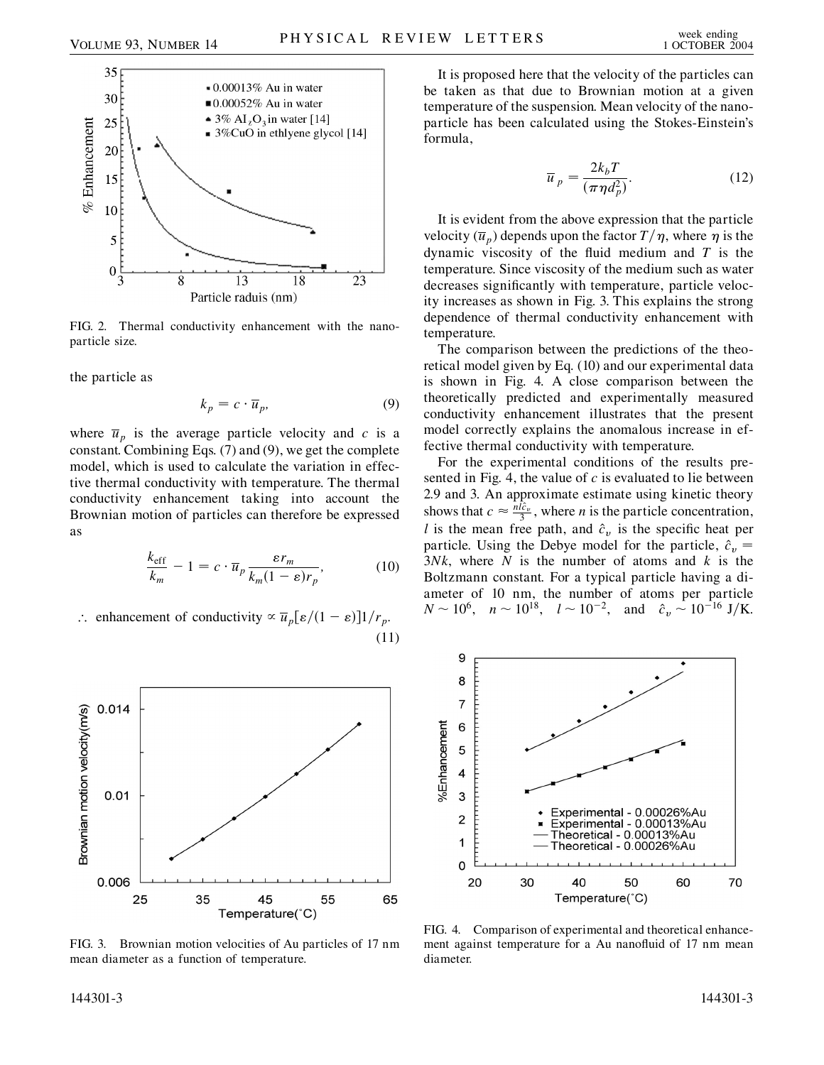

FIG. 2. Thermal conductivity enhancement with the nanoparticle size.

the particle as

$$
k_p = c \cdot \overline{u}_p,\tag{9}
$$

where  $\overline{u}_p$  is the average particle velocity and *c* is a constant. Combining Eqs. (7) and (9), we get the complete model, which is used to calculate the variation in effective thermal conductivity with temperature. The thermal conductivity enhancement taking into account the Brownian motion of particles can therefore be expressed as

$$
\frac{k_{\text{eff}}}{k_m} - 1 = c \cdot \overline{u}_p \frac{\varepsilon r_m}{k_m (1 - \varepsilon) r_p},\tag{10}
$$

$$
\therefore \text{ enhancement of conductivity} \propto \overline{u}_p[\varepsilon/(1-\varepsilon)]1/r_p. \tag{11}
$$



FIG. 3. Brownian motion velocities of Au particles of 17 nm mean diameter as a function of temperature.

It is proposed here that the velocity of the particles can be taken as that due to Brownian motion at a given temperature of the suspension. Mean velocity of the nanoparticle has been calculated using the Stokes-Einstein's formula,

$$
\overline{u}_p = \frac{2k_b T}{(\pi \eta d_p^2)}.
$$
\n(12)

It is evident from the above expression that the particle velocity  $(\overline{u}_p)$  depends upon the factor  $T/\eta$ , where  $\eta$  is the dynamic viscosity of the fluid medium and *T* is the temperature. Since viscosity of the medium such as water decreases significantly with temperature, particle velocity increases as shown in Fig. 3. This explains the strong dependence of thermal conductivity enhancement with temperature.

The comparison between the predictions of the theoretical model given by Eq. (10) and our experimental data is shown in Fig. 4. A close comparison between the theoretically predicted and experimentally measured conductivity enhancement illustrates that the present model correctly explains the anomalous increase in effective thermal conductivity with temperature.

For the experimental conditions of the results presented in Fig. 4, the value of *c* is evaluated to lie between 2.9 and 3. An approximate estimate using kinetic theory shows that  $c \approx \frac{n l \hat{c}_v}{3}$ , where *n* is the particle concentration, *l* is the mean free path, and  $\hat{c}_v$  is the specific heat per particle. Using the Debye model for the particle,  $\hat{c}_v$  = 3*Nk*, where *N* is the number of atoms and *k* is the Boltzmann constant. For a typical particle having a diameter of 10 nm, the number of atoms per particle  $N \sim 10^6$ ,  $n \sim 10^{18}$ ,  $l \sim 10^{-2}$ , and  $\hat{c}_v \sim 10^{-16}$  J/K.



FIG. 4. Comparison of experimental and theoretical enhancement against temperature for a Au nanofluid of 17 nm mean diameter.